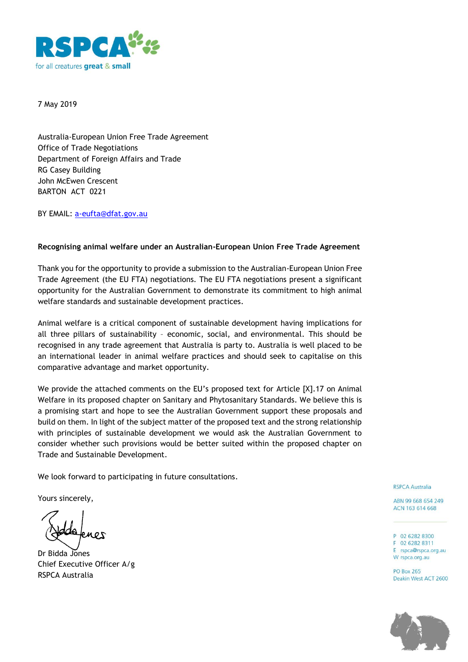

7 May 2019

Australia-European Union Free Trade Agreement Office of Trade Negotiations Department of Foreign Affairs and Trade RG Casey Building John McEwen Crescent BARTON ACT 0221

BY EMAIL: a-eufta@dfat.gov.au

## **Recognising animal welfare under an Australian-European Union Free Trade Agreement**

Thank you for the opportunity to provide a submission to the Australian-European Union Free Trade Agreement (the EU FTA) negotiations*.* The EU FTA negotiations present a significant opportunity for the Australian Government to demonstrate its commitment to high animal welfare standards and sustainable development practices.

Animal welfare is a critical component of sustainable development having implications for all three pillars of sustainability – economic, social, and environmental. This should be recognised in any trade agreement that Australia is party to. Australia is well placed to be an international leader in animal welfare practices and should seek to capitalise on this comparative advantage and market opportunity.

We provide the attached comments on the EU's proposed text for Article [X].17 on Animal Welfare in its proposed chapter on Sanitary and Phytosanitary Standards. We believe this is a promising start and hope to see the Australian Government support these proposals and build on them. In light of the subject matter of the proposed text and the strong relationship with principles of sustainable development we would ask the Australian Government to consider whether such provisions would be better suited within the proposed chapter on Trade and Sustainable Development.

We look forward to participating in future consultations.

Yours sincerely,

Dr Bidda Jones Chief Executive Officer A/g RSPCA Australia

**RSPCA Australia** 

ABN 99 668 654 249 ACN 163 614 668

P 02 6282 8300 F 02 6282 8311 E rspca@rspca.org.au

W rspca.org.au

**PO Box 265** Deakin West ACT 2600

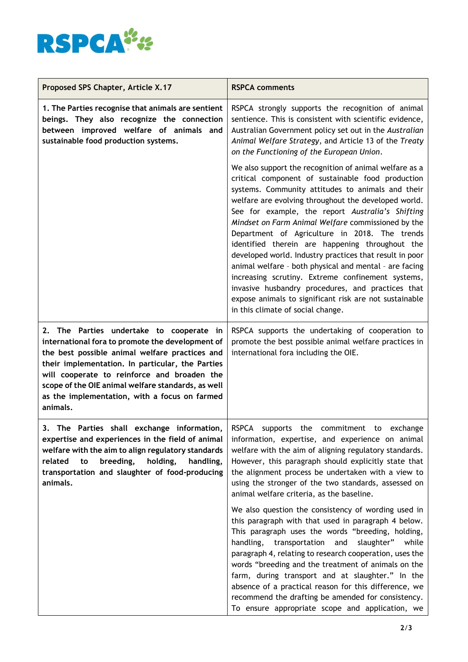

| Proposed SPS Chapter, Article X.17                                                                                                                                                                                                                                                                                                                                   | <b>RSPCA comments</b>                                                                                                                                                                                                                                                                                                                                                                                                                                                                                                                                                                                                                                                                                                                                                |
|----------------------------------------------------------------------------------------------------------------------------------------------------------------------------------------------------------------------------------------------------------------------------------------------------------------------------------------------------------------------|----------------------------------------------------------------------------------------------------------------------------------------------------------------------------------------------------------------------------------------------------------------------------------------------------------------------------------------------------------------------------------------------------------------------------------------------------------------------------------------------------------------------------------------------------------------------------------------------------------------------------------------------------------------------------------------------------------------------------------------------------------------------|
| 1. The Parties recognise that animals are sentient<br>beings. They also recognize the connection<br>between improved welfare of animals and<br>sustainable food production systems.                                                                                                                                                                                  | RSPCA strongly supports the recognition of animal<br>sentience. This is consistent with scientific evidence,<br>Australian Government policy set out in the Australian<br>Animal Welfare Strategy, and Article 13 of the Treaty<br>on the Functioning of the European Union.                                                                                                                                                                                                                                                                                                                                                                                                                                                                                         |
|                                                                                                                                                                                                                                                                                                                                                                      | We also support the recognition of animal welfare as a<br>critical component of sustainable food production<br>systems. Community attitudes to animals and their<br>welfare are evolving throughout the developed world.<br>See for example, the report Australia's Shifting<br>Mindset on Farm Animal Welfare commissioned by the<br>Department of Agriculture in 2018. The trends<br>identified therein are happening throughout the<br>developed world. Industry practices that result in poor<br>animal welfare - both physical and mental - are facing<br>increasing scrutiny. Extreme confinement systems,<br>invasive husbandry procedures, and practices that<br>expose animals to significant risk are not sustainable<br>in this climate of social change. |
| 2. The Parties undertake to cooperate in<br>international fora to promote the development of<br>the best possible animal welfare practices and<br>their implementation. In particular, the Parties<br>will cooperate to reinforce and broaden the<br>scope of the OIE animal welfare standards, as well<br>as the implementation, with a focus on farmed<br>animals. | RSPCA supports the undertaking of cooperation to<br>promote the best possible animal welfare practices in<br>international fora including the OIE.                                                                                                                                                                                                                                                                                                                                                                                                                                                                                                                                                                                                                   |
| The Parties shall exchange information<br>3.<br>expertise and experiences in the field of animal<br>welfare with the aim to align regulatory standards<br>breeding,<br>holding,<br>related<br>handling,<br>to<br>transportation and slaughter of food-producing<br>animals.                                                                                          | RSPCA supports the commitment to exchange<br>information, expertise, and experience on animal<br>welfare with the aim of aligning regulatory standards.<br>However, this paragraph should explicitly state that<br>the alignment process be undertaken with a view to<br>using the stronger of the two standards, assessed on<br>animal welfare criteria, as the baseline.                                                                                                                                                                                                                                                                                                                                                                                           |
|                                                                                                                                                                                                                                                                                                                                                                      | We also question the consistency of wording used in<br>this paragraph with that used in paragraph 4 below.<br>This paragraph uses the words "breeding, holding,<br>slaughter" while<br>handling,<br>transportation and<br>paragraph 4, relating to research cooperation, uses the<br>words "breeding and the treatment of animals on the<br>farm, during transport and at slaughter." In the<br>absence of a practical reason for this difference, we<br>recommend the drafting be amended for consistency.<br>To ensure appropriate scope and application, we                                                                                                                                                                                                       |